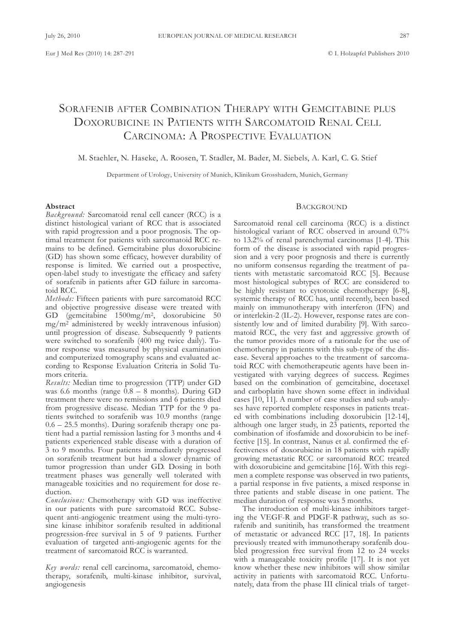# SORAFENIB AFTER COMBINATION THERAPY WITH GEMCITABINE PLUS DoxoRubICInE In PatIEntS wItH SaRCoMatoID REnal CEll CARCINOMA: A PROSPECTIVE EVALUATION

## M. Staehler, n. Haseke, a. Roosen, t. Stadler, M. bader, M. Siebels, a. Karl, C. G. Stief

Department of Urology, University of Munich, Klinikum Grosshadern, Munich, Germany

#### **Abstract**

*Background:* Sarcomatoid renal cell cancer (RCC) is a distinct histological variant of RCC that is associated with rapid progression and a poor prognosis. The optimal treatment for patients with sarcomatoid RCC remains to be defined. Gemcitabine plus doxorubicine (GD) has shown some efficacy, however durability of response is limited. we carried out a prospective, open-label study to investigate the efficacy and safety of sorafenib in patients after GD failure in sarcomatoid RCC.

*Methods:* fifteen patients with pure sarcomatoid RCC and objective progressive disease were treated with GD (gemcitabine 1500mg/m2, doxorubicine 50 mg/m2 administered by weekly intravenous infusion) until progression of disease. Subsequently 9 patients were switched to sorafenib (400 mg twice daily). Tumor response was measured by physical examination and computerized tomography scans and evaluated according to Response Evaluation Criteria in Solid Tumors criteria.

*Results:* Median time to progression (TTP) under GD was 6.6 months (range  $0.8 - 8$  months). During GD treatment there were no remissions and 6 patients died from progressive disease. Median TTP for the 9 patients switched to sorafenib was 10.9 months (range 0.6 – 25.5 months). During sorafenib therapy one patient had a partial remission lasting for 3 months and 4 patients experienced stable disease with a duration of 3 to 9 months. four patients immediately progressed on sorafenib treatment but had a slower dynamic of tumor progression than under GD. Dosing in both treatment phases was generally well tolerated with manageable toxicities and no requirement for dose reduction.

*Conclusions:* Chemotherapy with GD was ineffective in our patients with pure sarcomatoid RCC. Subsequent anti-angiogenic treatment using the multi-tyrosine kinase inhibitor sorafenib resulted in additional progression-free survival in 5 of 9 patients. further evaluation of targeted anti-angiogenic agents for the treatment of sarcomatoid RCC is warranted.

Key words: renal cell carcinoma, sarcomatoid, chemotherapy, sorafenib, multi-kinase inhibitor, survival, angiogenesis

## **BACKGROUND**

Sarcomatoid renal cell carcinoma (RCC) is a distinct histological variant of RCC observed in around 0.7% to  $13.2\%$  of renal parenchymal carcinomas [1-4]. This form of the disease is associated with rapid progression and a very poor prognosis and there is currently no uniform consensus regarding the treatment of patients with metastatic sarcomatoid RCC [5]. because most histological subtypes of RCC are considered to be highly resistant to cytotoxic chemotherapy [6-8], systemic therapy of RCC has, until recently, been based mainly on immunotherapy with interferon (IFN) and or interlekin-2 (Il-2). However, response rates are consistently low and of limited durability [9]. with sarcomatoid RCC, the very fast and aggressive growth of the tumor provides more of a rationale for the use of chemotherapy in patients with this sub-type of the disease. Several approaches to the treatment of sarcomatoid RCC with chemotherapeutic agents have been investigated with varying degrees of success. Regimes based on the combination of gemcitabine, docetaxel and carboplatin have shown some effect in individual cases [10, 11]. a number of case studies and sub-analyses have reported complete responses in patients treated with combinations including doxorubicin [12-14], although one larger study, in 23 patients, reported the combination of ifosfamide and doxorubicin to be ineffective [15]. In contrast, Nanus et al. confirmed the effectiveness of doxorubicine in 18 patients with rapidly growing metastatic RCC or sarcomatoid RCC treated with doxorubicine and gemcitabine [16]. with this regimen a complete response was observed in two patients, a partial response in five patients, a mixed response in three patients and stable disease in one patient. The median duration of response was 5 months.

The introduction of multi-kinase inhibitors targeting the vEGf-R and PDGf-R pathway, such as sorafenib and sunitinib, has transformed the treatment of metastatic or advanced RCC [17, 18]. In patients previously treated with immunotherapy sorafenib doubled progression free survival from 12 to 24 weeks with a manageable toxicity profile [17]. It is not yet know whether these new inhibitors will show similar activity in patients with sarcomatoid RCC. unfortunately, data from the phase III clinical trials of target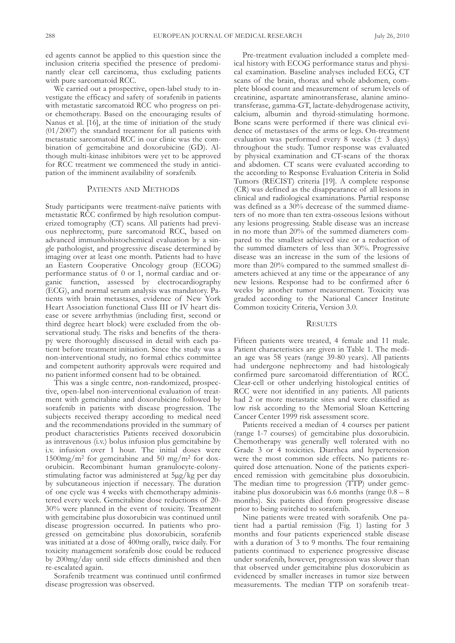ed agents cannot be applied to this question since the inclusion criteria specified the presence of predominantly clear cell carcinoma, thus excluding patients with pure sarcomatoid RCC.

we carried out a prospective, open-label study to investigate the efficacy and safety of sorafenib in patients with metastatic sarcomatoid RCC who progress on prior chemotherapy. based on the encouraging results of Nanus et al. [16], at the time of initiation of the study (01/2007) the standard treatment for all patients with metastatic sarcomatoid RCC in our clinic was the combination of gemcitabine and doxorubicine (GD). although multi-kinase inhibitors were yet to be approved for RCC treatment we commenced the study in anticipation of the imminent availability of sorafenib.

## PATIENTS AND METHODS

Study participants were treatment-naïve patients with metastatic RCC confirmed by high resolution computerized tomography (CT) scans. All patients had previous nephrectomy, pure sarcomatoid RCC, based on advanced immunhohistochemical evaluation by a single pathologist, and progressive disease determined by imaging over at least one month. Patients had to have an Eastern Cooperative Oncology group (ECOG) performance status of 0 or 1, normal cardiac and organic function, assessed by electrocardiography (ECG), and normal serum analysis was mandatory. Patients with brain metastases, evidence of New York Heart Association functional Class III or IV heart disease or severe arrhythmias (including first, second or third degree heart block) were excluded from the observational study. The risks and benefits of the therapy were thoroughly discussed in detail with each patient before treatment initiation. Since the study was a non-interventional study, no formal ethics committee and competent authority approvals were required and no patient informed consent had to be obtained.

This was a single centre, non-randomized, prospective, open-label non-interventional evaluation of treatment with gemcitabine and doxorubicine followed by sorafenib in patients with disease progression. The subjects received therapy according to medical need and the recommendations provided in the summary of product characteristics Patients received doxorubicin as intravenous (i.v.) bolus infusion plus gemcitabine by i.v. infusion over 1 hour. The initial doses were  $1500$ mg/m<sup>2</sup> for gemcitabine and 50 mg/m<sup>2</sup> for doxorubicin. Recombinant human granulocyte-colonystimulating factor was administered at 5µg/kg per day by subcutaneous injection if necessary. The duration of one cycle was 4 weeks with chemotherapy administered every week. Gemcitabine dose reductions of 20- 30% were planned in the event of toxicity. Treatment with gemcitabine plus doxorubicin was continued until disease progression occurred. In patients who progressed on gemcitabine plus doxorubicin, sorafenib was initiated at a dose of 400mg orally, twice daily. for toxicity management sorafenib dose could be reduced by 200mg/day until side effects diminished and then re-escalated again.

Sorafenib treatment was continued until confirmed disease progression was observed.

Pre-treatment evaluation included a complete medical history with ECoG performance status and physical examination. Baseline analyses included ECG, CT scans of the brain, thorax and whole abdomen, complete blood count and measurement of serum levels of creatinine, aspartate aminotransferase, alanine aminotransferase, gamma-GT, lactate-dehydrogenase activity, calcium, albumin and thyroid-stimulating hormone. bone scans were performed if there was clinical evidence of metastases of the arms or legs. On-treatment evaluation was performed every 8 weeks  $(\pm 3 \text{ days})$ throughout the study. Tumor response was evaluated by physical examination and CT-scans of the thorax and abdomen. CT scans were evaluated according to the according to Response Evaluation Criteria in Solid Tumors (RECIST) criteria [19]. A complete response (CR) was defined as the disappearance of all lesions in clinical and radiological examinations. Partial response was defined as a 30% decrease of the summed diameters of no more than ten extra-osseous lesions without any lesions progressing. Stable disease was an increase in no more than 20% of the summed diameters compared to the smallest achieved size or a reduction of the summed diameters of less than 30%. Progressive disease was an increase in the sum of the lesions of more than 20% compared to the summed smallest diameters achieved at any time or the appearance of any new lesions. Response had to be confirmed after 6 weeks by another tumor measurement. Toxicity was graded according to the National Cancer Institute Common toxicity Criteria, version 3.0.

## **RESULTS**

fifteen patients were treated, 4 female and 11 male. Patient characteristics are given in Table 1. The median age was 58 years (range 39-80 years). all patients had undergone nephrectomy and had histologicaly confirmed pure sarcomatoid differentiation of RCC. Clear-cell or other underlying histological entities of RCC were not identified in any patients. All patients had 2 or more metastatic sites and were classified as low risk according to the Memorial Sloan Kettering Cancer Center 1999 risk assessment score.

Patients received a median of 4 courses per patient (range 1-7 courses) of gemcitabine plus doxorubicin. Chemotherapy was generally well tolerated with no Grade 3 or 4 toxicities. Diarrhea and hypertension were the most common side effects. No patients required dose attenuation. None of the patients experienced remission with gemcitabine plus doxorubicin. The median time to progression (TTP) under gemcitabine plus doxorubicin was 6.6 months (range  $0.8 - 8$ ) months). Six patients died from progressive disease prior to being switched to sorafenib.

Nine patients were treated with sorafenib. One patient had a partial remission (fig. 1) lasting for 3 months and four patients experienced stable disease with a duration of 3 to 9 months. The four remaining patients continued to experience progressive disease under sorafenib, however, progression was slower than that observed under gemcitabine plus doxorubicin as evidenced by smaller increases in tumor size between measurements. The median TTP on sorafenib treat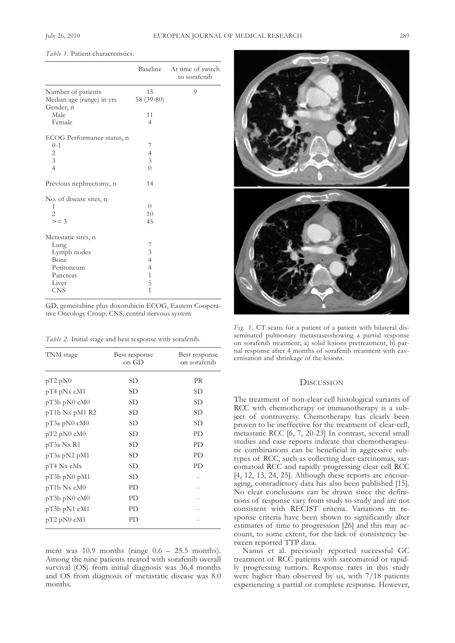*Table 1.* Patient characteristics.

|                                                                                                     |                                                                               | Baseline At time of switch<br>to sorafenib |
|-----------------------------------------------------------------------------------------------------|-------------------------------------------------------------------------------|--------------------------------------------|
| Number of patients<br>Median age (range) in yrs<br>Gender, n                                        | 15<br>58 (39-80)                                                              | 9                                          |
| Male<br>Female                                                                                      | 11<br>$\overline{4}$                                                          |                                            |
| ECOG Performance status, n<br>$0 - 1$<br>$\overline{c}$<br>$\overline{3}$<br>$\overline{4}$         | 7<br>$\frac{4}{3}$<br>$\overline{O}$                                          |                                            |
| Previous nephrectomy, n                                                                             | 14                                                                            |                                            |
| No. of disease sites, n<br>1<br>$\overline{2}$<br>$>=$ 3                                            | $\overline{0}$<br>10<br>45                                                    |                                            |
| Metastatic sites, n<br>Lung<br>Lymph nodes<br>Bone<br>Peritoneum<br>Pancreas<br>Liver<br><b>CNS</b> | 7<br>$\frac{3}{4}$<br>$\overline{4}$<br>$\overline{1}$<br>5<br>$\overline{1}$ |                                            |

GD, gemcitabine plus doxorubicin ECoG, Eastern Cooperative Oncology Croup; CNS, central nervous system

*Table 2.* Initial stage and best response with sorafenib.

| TNM stage          | Best response<br>on GD | Best response<br>on sorafenib |
|--------------------|------------------------|-------------------------------|
| $pT2$ $pN0$        | SD                     | PR                            |
| $pT4$ $pNx$ $cM1$  | SD                     | SD                            |
| $pT3b$ $pN0$ $cM0$ | SD                     | SD                            |
| $pT1b$ Nx $pM1$ R2 | SD                     | SD                            |
| pT3a pN0 cM0       | SD                     | SD                            |
| $pT2$ $pN0$ $cM0$  | SD                     | PD                            |
| pT3a Nx R1         | SD                     | PD                            |
| pT3a pN2 pM1       | SD                     | PD                            |
| pT4 Nx cMx         | SD                     | PD                            |
| $pT3b$ $pN0$ $pM1$ | SD                     |                               |
| $pT1b$ Nx cM $0$   | PD                     |                               |
| $pT3b$ $pN0$ $cM0$ | PD                     |                               |
| pT3b pN1 cM1       | PD                     |                               |
| $pT2$ $pN0$ $cM1$  | PD                     |                               |

ment was  $10.9$  months (range  $0.6 - 25.5$  months). Among the nine patients treated with sorafenib overall survival (OS) from initial diagnosis was 36.4 months and oS from diagnosis of metastatic disease was 8.0 months.



*Fig.* 1. CT scans for a patient of a patient with bilateral disseminated pulmonary metastasesshowing a partial response on sorafenib treatment; a) solid lesions pretreatment, b) partial response after 4 months of sorafenib treatment with cavernisation and shrinkage of the lesions.

#### **DISCUSSION**

The treatment of non-clear cell histological variants of RCC with chemotherapy or immunotherapy is a subject of controversy. Chemotherapy has clearly been proven to be ineffective for the treatment of clear-cell, metastatic RCC [6, 7, 20-23] In contrast, several small studies and case reports indicate that chemotherapeutic combinations can be beneficial in aggressive subtypes of RCC, such as collecting duct carcinomas, sarcomatoid RCC and rapidly progressing clear cell RCC [4, 12, 13, 24, 25]. although these reports are encouraging, contradictory data has also been published [15]. No clear conclusions can be drawn since the definitions of response vary from study to study and are not consistent with RECIST criteria. Variations in response criteria have been shown to significantly alter estimates of time to progression [26] and this may account, to some extent, for the lack of consistency between reported TTP data.

Nanus et al. previously reported successful GC treatment of RCC patients with sarcomatoid or rapidly progressing tumors. Response rates in this study were higher than observed by us, with 7/18 patients experiencing a partial or complete response. However,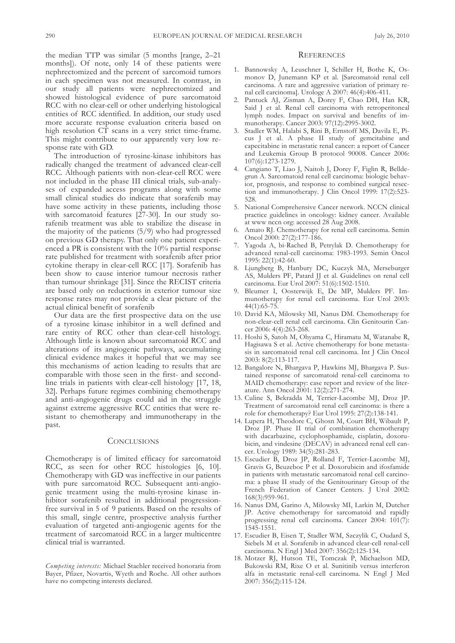the median  $TTP$  was similar (5 months [range, 2–21] months]). of note, only 14 of these patients were nephrectomized and the percent of sarcomoid tumors in each specimen was not measured. In contrast, in our study all patients were nephrectomized and showed histological evidence of pure sarcomatoid RCC with no clear-cell or other underlying histological entities of RCC identified. In addition, our study used more accurate response evaluation criteria based on high resolution  $C\dot{T}$  scans in a very strict time-frame. This might contribute to our apparently very low response rate with GD.

The introduction of tyrosine-kinase inhibitors has radically changed the treatment of advanced clear-cell RCC. although patients with non-clear-cell RCC were not included in the phase III clinical trials, sub-analyses of expanded access programs along with some small clinical studies do indicate that sorafenib may have some activity in these patients, including those with sarcomatoid features [27-30]. In our study sorafenib treatment was able to stabilize the disease in the majority of the patients (5/9) who had progressed on previous GD therapy. That only one patient experienced a PR is consistent with the 10% partial response rate published for treatment with sorafenib after prior cytokine therapy in clear-cell RCC [17]. Sorafenib has been show to cause interior tumour necrosis rather than tumour shrinkage [31]. Since the RECIST criteria are based only on reductions in exterior tumour size response rates may not provide a clear picture of the actual clinical benefit of sorafenib

Our data are the first prospective data on the use of a tyrosine kinase inhibitor in a well defined and rare entity of RCC other than clear-cell histology. although little is known about sarcomatoid RCC and alterations of its angiogenic pathways, accumulating clinical evidence makes it hopeful that we may see this mechanisms of action leading to results that are comparable with those seen in the first- and secondline trials in patients with clear-cell histology [17, 18, 32]. Perhaps future regimes combining chemotherapy and anti-angiogenic drugs could aid in the struggle against extreme aggressive RCC entities that were resistant to chemotherapy and immunotherapy in the past.

#### **CONCLUSIONS**

Chemotherapy is of limited efficacy for sarcomatoid RCC, as seen for other RCC histologies [6, 10]. Chemotherapy with GD was ineffective in our patients with pure sarcomatoid RCC. Subsequent anti-angiogenic treatment using the multi-tyrosine kinase inhibitor sorafenib resulted in additional progressionfree survival in 5 of 9 patients. Based on the results of this small, single centre, prospective analysis further evaluation of targeted anti-angiogenic agents for the treatment of sarcomatoid RCC in a larger multicentre clinical trial is warranted.

### **REFERENCES**

- 1. bannowsky a, leuschner I, Schiller H, bothe K, osmonov D, Junemann KP et al. [Sarcomatoid renal cell carcinoma. A rare and aggressive variation of primary renal cell carcinoma]. Urologe A 2007: 46(4):406-411.
- 2. Pantuck aJ, Zisman a, Dorey f, Chao DH, Han KR, Said J et al. Renal cell carcinoma with retroperitoneal lymph nodes. Impact on survival and benefits of immunotherapy. Cancer 2003: 97(12):2995-3002.
- 3. Stadler wM, Halabi S, Rini b, Ernstoff MS, Davila E, Picus J et al. a phase II study of gemcitabine and capecitabine in metastatic renal cancer: a report of Cancer and Leukemia Group B protocol 90008. Cancer 2006: 107(6):1273-1279.
- 4. Cangiano T, Liao J, Naitoh J, Dorey F, Figlin R, Belldegrun A. Sarcomatoid renal cell carcinoma: biologic behavior, prognosis, and response to combined surgical resection and immunotherapy. J Clin Oncol 1999: 17(2):523-528.
- 5. National Comprehensive Cancer network. NCCN clinical practice guidelines in oncology: kidney cancer. Available at www nccn org: accessed 28 aug 2008.
- 6. Amato RJ. Chemotherapy for renal cell carcinoma. Semin Oncol 2000: 27(2):177-186.
- 7. yagoda a, bi-Rached b, Petrylak D. Chemotherapy for advanced renal-cell carcinoma: 1983-1993. Semin Oncol 1995: 22(1):42-60.
- 8. ljungberg b, Hanbury DC, Kuczyk Ma, Merseburger AS, Mulders PF, Patard JJ et al. Guidelines on renal cell carcinoma. Eur Urol 2007: 51(6):1502-1510.
- 9. Bleumer I, Oosterwijk E, De MP, Mulders PF. Immunotherapy for renal cell carcinoma. Eur Urol 2003: 44(1):65-75.
- 10. David Ka, Milowsky MI, nanus DM. Chemotherapy for non-clear-cell renal cell carcinoma. Clin Genitourin Cancer 2006: 4(4):263-268.
- 11. Hoshi S, Satoh M, ohyama C, Hiramatu M, watanabe R, Hagisawa S et al. Active chemotherapy for bone metastasis in sarcomatoid renal cell carcinoma. Int J Clin Oncol 2003: 8(2):113-117.
- 12. Bangalore N, Bhargava P, Hawkins MJ, Bhargava P. Sustained response of sarcomatoid renal-cell carcinoma to MaID chemotherapy: case report and review of the literature. Ann Oncol 2001: 12(2):271-274.
- 13. Culine S, bekradda M, terrier-lacombe MJ, Droz JP. Treatment of sarcomatoid renal cell carcinoma: is there a role for chemotherapy? Eur Urol 1995: 27(2):138-141.
- 14. lupera H, theodore C, Ghosn M, Court bH, wibault P, Droz JP. Phase II trial of combination chemotherapy with dacarbazine, cyclophosphamide, cisplatin, doxorubicin, and vindesine  $(DECAV)$  in advanced renal cell cancer. Urology 1989: 34(5):281-283.
- 15. Escudier B, Droz JP, Rolland F, Terrier-Lacombe MJ, Gravis G, beuzeboc P et al. Doxorubicin and ifosfamide in patients with metastatic sarcomatoid renal cell carcinoma: a phase II study of the Genitourinary Group of the French Federation of Cancer Centers. J Urol 2002: 168(3):959-961.
- 16. Nanus DM, Garino A, Milowsky MI, Larkin M, Dutcher JP. Active chemotherapy for sarcomatoid and rapidly progressing renal cell carcinoma. Cancer 2004: 101(7): 1545-1551.
- 17. Escudier B, Eisen T, Stadler WM, Szczylik C, Oudard S, Siebels M et al. Sorafenib in advanced clear-cell renal-cell carcinoma. N Engl J Med 2007: 356(2):125-134.
- 18. Motzer RJ, Hutson TE, Tomczak P, Michaelson MD, Bukowski RM, Rixe O et al. Sunitinib versus interferon alfa in metastatic renal-cell carcinoma. N Engl J Med 2007: 356(2):115-124.

*Competing interests:* Michael Staehler received honoraria from Bayer, Pfizer, Novartis, Wyeth and Roche. All other authors have no competing interests declared.